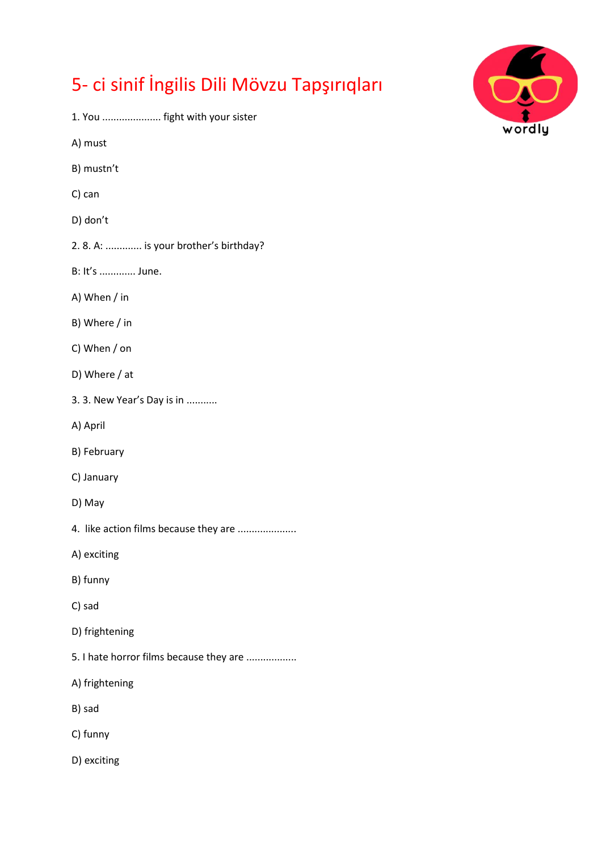## 5- ci sinif İngilis Dili Mövzu Tapşırıqları

- 1. You ..................... fight with your sister
- A) must
- B) mustn't
- C) can
- D) don't
- 2. 8. A: ............. is your brother's birthday?
- B: It's ............. June.
- A) When / in
- B) Where / in
- C) When / on
- D) Where / at
- 3. 3. New Year's Day is in ...........
- A) April
- B) February
- C) January
- D) May
- 4. like action films because they are .....................
- A) exciting
- B) funny
- C) sad
- D) frightening
- 5. I hate horror films because they are ..................
- A) frightening
- B) sad
- C) funny
- D) exciting

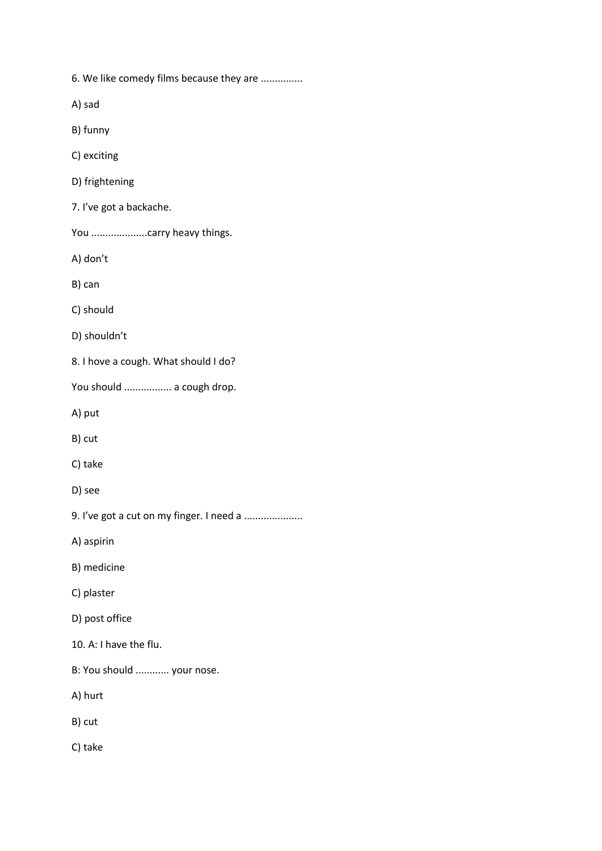6. We like comedy films because they are ...............

A) sad

B) funny

C) exciting

D) frightening

7. I've got a backache.

You ......................carry heavy things.

A) don't

B) can

C) should

D) shouldn't

8. I hove a cough. What should I do?

You should ................. a cough drop.

A) put

B) cut

C) take

D) see

9. I've got a cut on my finger. I need a .....................

A) aspirin

B) medicine

C) plaster

D) post office

10. A: I have the flu.

B: You should ............ your nose.

A) hurt

B) cut

C) take